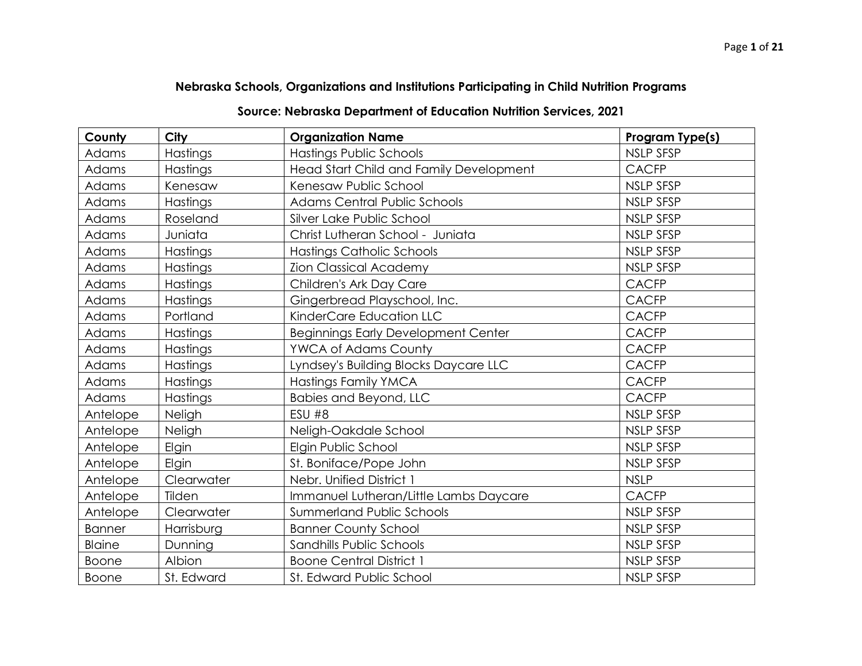## **Nebraska Schools, Organizations and Institutions Participating in Child Nutrition Programs**

## **Source: Nebraska Department of Education Nutrition Services, 2021**

| County        | City       | <b>Organization Name</b>                   | Program Type(s)  |
|---------------|------------|--------------------------------------------|------------------|
| <b>Adams</b>  | Hastings   | <b>Hastings Public Schools</b>             | <b>NSLP SFSP</b> |
| Adams         | Hastings   | Head Start Child and Family Development    | <b>CACFP</b>     |
| Adams         | Kenesaw    | Kenesaw Public School                      | <b>NSLP SFSP</b> |
| Adams         | Hastings   | <b>Adams Central Public Schools</b>        | <b>NSLP SFSP</b> |
| Adams         | Roseland   | Silver Lake Public School                  | NSLP SFSP        |
| Adams         | Juniata    | Christ Lutheran School - Juniata           | <b>NSLP SFSP</b> |
| Adams         | Hastings   | Hastings Catholic Schools                  | NSLP SFSP        |
| Adams         | Hastings   | <b>Zion Classical Academy</b>              | NSLP SFSP        |
| Adams         | Hastings   | Children's Ark Day Care                    | <b>CACFP</b>     |
| Adams         | Hastings   | Gingerbread Playschool, Inc.               | <b>CACFP</b>     |
| Adams         | Portland   | KinderCare Education LLC                   | <b>CACFP</b>     |
| Adams         | Hastings   | <b>Beginnings Early Development Center</b> | <b>CACFP</b>     |
| Adams         | Hastings   | <b>YWCA of Adams County</b>                | <b>CACFP</b>     |
| Adams         | Hastings   | Lyndsey's Building Blocks Daycare LLC      | <b>CACFP</b>     |
| Adams         | Hastings   | Hastings Family YMCA                       | <b>CACFP</b>     |
| Adams         | Hastings   | Babies and Beyond, LLC                     | <b>CACFP</b>     |
| Antelope      | Neligh     | <b>ESU #8</b>                              | NSLP SFSP        |
| Antelope      | Neligh     | Neligh-Oakdale School                      | <b>NSLP SFSP</b> |
| Antelope      | Elgin      | Elgin Public School                        | <b>NSLP SFSP</b> |
| Antelope      | Elgin      | St. Boniface/Pope John                     | <b>NSLP SFSP</b> |
| Antelope      | Clearwater | Nebr. Unified District 1                   | <b>NSLP</b>      |
| Antelope      | Tilden     | Immanuel Lutheran/Little Lambs Daycare     | <b>CACFP</b>     |
| Antelope      | Clearwater | <b>Summerland Public Schools</b>           | NSLP SFSP        |
| <b>Banner</b> | Harrisburg | <b>Banner County School</b>                | <b>NSLP SFSP</b> |
| <b>Blaine</b> | Dunning    | Sandhills Public Schools                   | NSLP SFSP        |
| Boone         | Albion     | <b>Boone Central District 1</b>            | NSLP SFSP        |
| <b>Boone</b>  | St. Edward | St. Edward Public School                   | <b>NSLP SFSP</b> |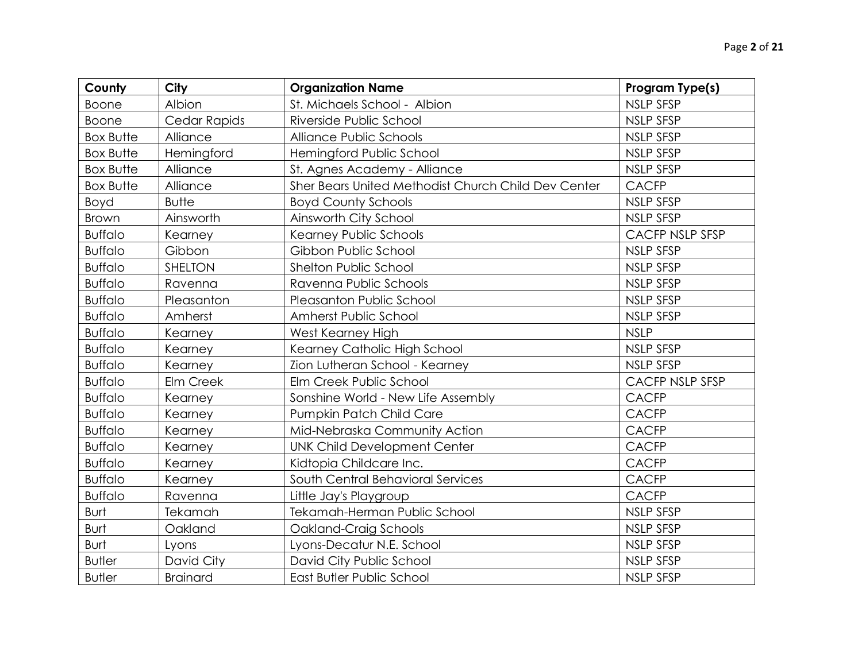| County           | <b>City</b>     | <b>Organization Name</b>                            | Program Type(s)  |
|------------------|-----------------|-----------------------------------------------------|------------------|
| <b>Boone</b>     | Albion          | St. Michaels School - Albion                        | <b>NSLP SFSP</b> |
| <b>Boone</b>     | Cedar Rapids    | Riverside Public School                             | <b>NSLP SFSP</b> |
| <b>Box Butte</b> | Alliance        | Alliance Public Schools                             | <b>NSLP SFSP</b> |
| <b>Box Butte</b> | Hemingford      | Hemingford Public School                            | <b>NSLP SFSP</b> |
| <b>Box Butte</b> | Alliance        | St. Agnes Academy - Alliance                        | <b>NSLP SFSP</b> |
| <b>Box Butte</b> | Alliance        | Sher Bears United Methodist Church Child Dev Center | <b>CACFP</b>     |
| Boyd             | <b>Butte</b>    | <b>Boyd County Schools</b>                          | NSLP SFSP        |
| Brown            | Ainsworth       | Ainsworth City School                               | <b>NSLP SFSP</b> |
| <b>Buffalo</b>   | Kearney         | Kearney Public Schools                              | CACFP NSLP SFSP  |
| <b>Buffalo</b>   | Gibbon          | Gibbon Public School                                | <b>NSLP SFSP</b> |
| <b>Buffalo</b>   | SHELTON         | Shelton Public School                               | <b>NSLP SFSP</b> |
| <b>Buffalo</b>   | Ravenna         | Ravenna Public Schools                              | NSLP SFSP        |
| <b>Buffalo</b>   | Pleasanton      | Pleasanton Public School                            | <b>NSLP SFSP</b> |
| <b>Buffalo</b>   | Amherst         | Amherst Public School                               | <b>NSLP SFSP</b> |
| <b>Buffalo</b>   | Kearney         | West Kearney High                                   | <b>NSLP</b>      |
| <b>Buffalo</b>   | Kearney         | Kearney Catholic High School                        | <b>NSLP SFSP</b> |
| <b>Buffalo</b>   | Kearney         | Zion Lutheran School - Kearney                      | <b>NSLP SFSP</b> |
| <b>Buffalo</b>   | Elm Creek       | Elm Creek Public School                             | CACFP NSLP SFSP  |
| <b>Buffalo</b>   | Kearney         | Sonshine World - New Life Assembly                  | <b>CACFP</b>     |
| <b>Buffalo</b>   | Kearney         | Pumpkin Patch Child Care                            | <b>CACFP</b>     |
| <b>Buffalo</b>   | Kearney         | Mid-Nebraska Community Action                       | <b>CACFP</b>     |
| <b>Buffalo</b>   | Kearney         | <b>UNK Child Development Center</b>                 | <b>CACFP</b>     |
| <b>Buffalo</b>   | Kearney         | Kidtopia Childcare Inc.                             | <b>CACFP</b>     |
| <b>Buffalo</b>   | Kearney         | South Central Behavioral Services                   | <b>CACFP</b>     |
| <b>Buffalo</b>   | Ravenna         | Little Jay's Playgroup                              | <b>CACFP</b>     |
| Burt             | Tekamah         | Tekamah-Herman Public School                        | <b>NSLP SFSP</b> |
| Burt             | Oakland         | Oakland-Craig Schools                               | <b>NSLP SFSP</b> |
| Burt             | Lyons           | Lyons-Decatur N.E. School                           | <b>NSLP SFSP</b> |
| <b>Butler</b>    | David City      | David City Public School                            | <b>NSLP SFSP</b> |
| <b>Butler</b>    | <b>Brainard</b> | East Butler Public School                           | <b>NSLP SFSP</b> |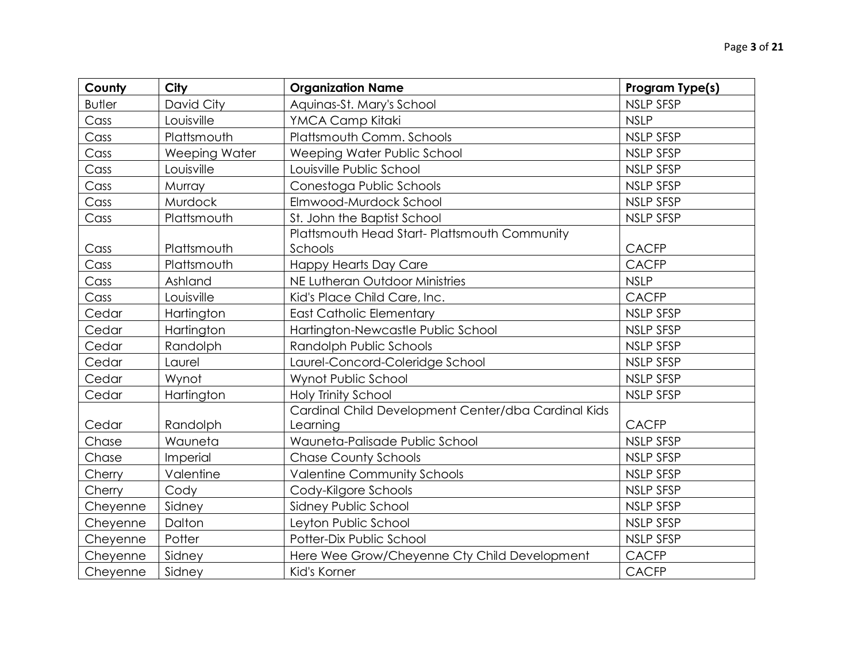| County        | City          | <b>Organization Name</b>                            | <b>Program Type(s)</b> |
|---------------|---------------|-----------------------------------------------------|------------------------|
| <b>Butler</b> | David City    | Aquinas-St. Mary's School                           | <b>NSLP SFSP</b>       |
| Cass          | Louisville    | YMCA Camp Kitaki                                    | <b>NSLP</b>            |
| Cass          | Plattsmouth   | Plattsmouth Comm. Schools                           | <b>NSLP SFSP</b>       |
| Cass          | Weeping Water | Weeping Water Public School                         | <b>NSLP SFSP</b>       |
| Cass          | Louisville    | Louisville Public School                            | <b>NSLP SFSP</b>       |
| Cass          | Murray        | Conestoga Public Schools                            | <b>NSLP SFSP</b>       |
| Cass          | Murdock       | Elmwood-Murdock School                              | <b>NSLP SFSP</b>       |
| Cass          | Plattsmouth   | St. John the Baptist School                         | <b>NSLP SFSP</b>       |
|               |               | Plattsmouth Head Start- Plattsmouth Community       |                        |
| Cass          | Plattsmouth   | Schools                                             | <b>CACFP</b>           |
| Cass          | Plattsmouth   | <b>Happy Hearts Day Care</b>                        | <b>CACFP</b>           |
| Cass          | Ashland       | NE Lutheran Outdoor Ministries                      | <b>NSLP</b>            |
| Cass          | Louisville    | Kid's Place Child Care, Inc.                        | <b>CACFP</b>           |
| Cedar         | Hartington    | <b>East Catholic Elementary</b>                     | <b>NSLP SFSP</b>       |
| Cedar         | Hartington    | Hartington-Newcastle Public School                  | <b>NSLP SFSP</b>       |
| Cedar         | Randolph      | Randolph Public Schools                             | <b>NSLP SFSP</b>       |
| Cedar         | Laurel        | Laurel-Concord-Coleridge School                     | <b>NSLP SFSP</b>       |
| Cedar         | Wynot         | Wynot Public School                                 | <b>NSLP SFSP</b>       |
| Cedar         | Hartington    | <b>Holy Trinity School</b>                          | NSLP SFSP              |
|               |               | Cardinal Child Development Center/dba Cardinal Kids |                        |
| Cedar         | Randolph      | Learning                                            | <b>CACFP</b>           |
| Chase         | Wauneta       | Wauneta-Palisade Public School                      | <b>NSLP SFSP</b>       |
| Chase         | Imperial      | <b>Chase County Schools</b>                         | <b>NSLP SFSP</b>       |
| Cherry        | Valentine     | <b>Valentine Community Schools</b>                  | <b>NSLP SFSP</b>       |
| Cherry        | Cody          | Cody-Kilgore Schools                                | <b>NSLP SFSP</b>       |
| Cheyenne      | Sidney        | Sidney Public School                                | <b>NSLP SFSP</b>       |
| Cheyenne      | Dalton        | Leyton Public School                                | <b>NSLP SFSP</b>       |
| Cheyenne      | Potter        | Potter-Dix Public School                            | <b>NSLP SFSP</b>       |
| Cheyenne      | Sidney        | Here Wee Grow/Cheyenne Cty Child Development        | <b>CACFP</b>           |
| Cheyenne      | Sidney        | Kid's Korner                                        | <b>CACFP</b>           |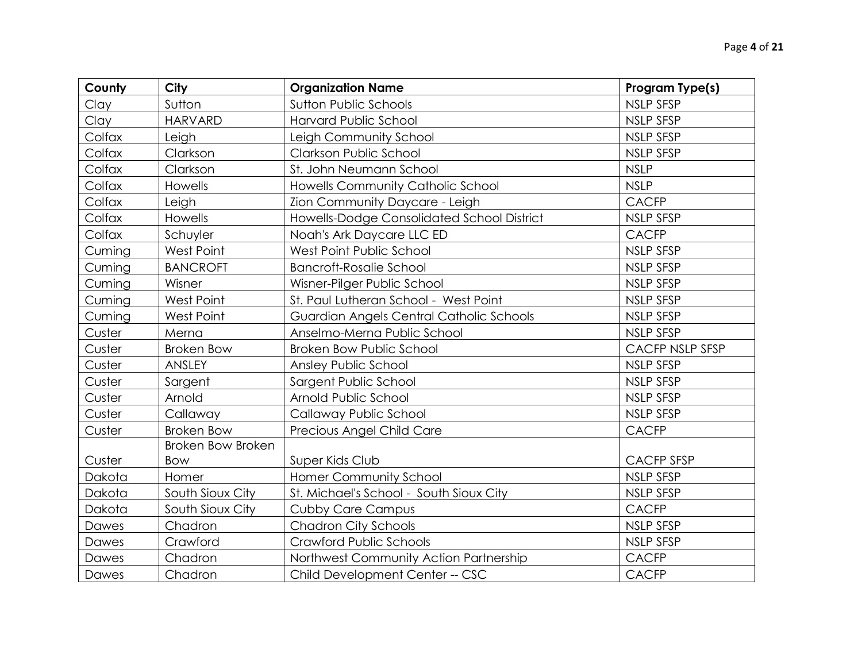| County | <b>City</b>              | <b>Organization Name</b>                   | Program Type(s)        |
|--------|--------------------------|--------------------------------------------|------------------------|
| Clay   | Sutton                   | <b>Sutton Public Schools</b>               | <b>NSLP SFSP</b>       |
| Clay   | <b>HARVARD</b>           | Harvard Public School                      | <b>NSLP SFSP</b>       |
| Colfax | Leigh                    | Leigh Community School                     | NSLP SFSP              |
| Colfax | Clarkson                 | Clarkson Public School                     | <b>NSLP SFSP</b>       |
| Colfax | Clarkson                 | St. John Neumann School                    | <b>NSLP</b>            |
| Colfax | Howells                  | Howells Community Catholic School          | <b>NSLP</b>            |
| Colfax | Leigh                    | Zion Community Daycare - Leigh             | <b>CACFP</b>           |
| Colfax | <b>Howells</b>           | Howells-Dodge Consolidated School District | NSLP SFSP              |
| Colfax | Schuyler                 | Noah's Ark Daycare LLC ED                  | <b>CACFP</b>           |
| Cuming | West Point               | West Point Public School                   | <b>NSLP SFSP</b>       |
| Cuming | <b>BANCROFT</b>          | <b>Bancroft-Rosalie School</b>             | <b>NSLP SFSP</b>       |
| Cuming | Wisner                   | Wisner-Pilger Public School                | NSLP SFSP              |
| Cuming | West Point               | St. Paul Lutheran School - West Point      | <b>NSLP SFSP</b>       |
| Cuming | West Point               | Guardian Angels Central Catholic Schools   | NSLP SFSP              |
| Custer | Merna                    | Anselmo-Merna Public School                | NSLP SFSP              |
| Custer | <b>Broken Bow</b>        | <b>Broken Bow Public School</b>            | <b>CACFP NSLP SFSP</b> |
| Custer | ANSLEY                   | Ansley Public School                       | <b>NSLP SFSP</b>       |
| Custer | Sargent                  | Sargent Public School                      | <b>NSLP SFSP</b>       |
| Custer | Arnold                   | Arnold Public School                       | <b>NSLP SFSP</b>       |
| Custer | Callaway                 | Callaway Public School                     | <b>NSLP SFSP</b>       |
| Custer | <b>Broken Bow</b>        | Precious Angel Child Care                  | <b>CACFP</b>           |
|        | <b>Broken Bow Broken</b> |                                            |                        |
| Custer | Bow                      | Super Kids Club                            | <b>CACFP SFSP</b>      |
| Dakota | Homer                    | Homer Community School                     | NSLP SFSP              |
| Dakota | South Sioux City         | St. Michael's School - South Sioux City    | NSLP SFSP              |
| Dakota | South Sioux City         | <b>Cubby Care Campus</b>                   | <b>CACFP</b>           |
| Dawes  | Chadron                  | <b>Chadron City Schools</b>                | NSLP SFSP              |
| Dawes  | Crawford                 | Crawford Public Schools                    | <b>NSLP SFSP</b>       |
| Dawes  | Chadron                  | Northwest Community Action Partnership     | <b>CACFP</b>           |
| Dawes  | Chadron                  | Child Development Center -- CSC            | <b>CACFP</b>           |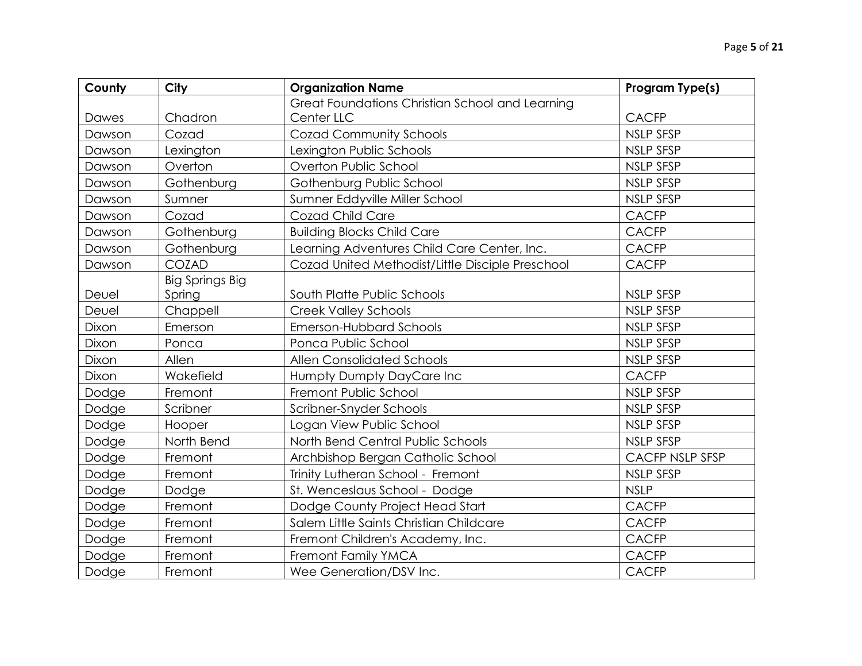| County | City                   | <b>Organization Name</b>                         | <b>Program Type(s)</b> |
|--------|------------------------|--------------------------------------------------|------------------------|
|        |                        | Great Foundations Christian School and Learning  |                        |
| Dawes  | Chadron                | Center LLC                                       | <b>CACFP</b>           |
| Dawson | Cozad                  | <b>Cozad Community Schools</b>                   | <b>NSLP SFSP</b>       |
| Dawson | Lexington              | Lexington Public Schools                         | <b>NSLP SFSP</b>       |
| Dawson | Overton                | Overton Public School                            | <b>NSLP SFSP</b>       |
| Dawson | Gothenburg             | Gothenburg Public School                         | <b>NSLP SFSP</b>       |
| Dawson | Sumner                 | Sumner Eddyville Miller School                   | <b>NSLP SFSP</b>       |
| Dawson | Cozad                  | Cozad Child Care                                 | <b>CACFP</b>           |
| Dawson | Gothenburg             | <b>Building Blocks Child Care</b>                | <b>CACFP</b>           |
| Dawson | Gothenburg             | Learning Adventures Child Care Center, Inc.      | <b>CACFP</b>           |
| Dawson | COZAD                  | Cozad United Methodist/Little Disciple Preschool | <b>CACFP</b>           |
|        | <b>Big Springs Big</b> |                                                  |                        |
| Deuel  | Spring                 | South Platte Public Schools                      | <b>NSLP SFSP</b>       |
| Deuel  | Chappell               | <b>Creek Valley Schools</b>                      | <b>NSLP SFSP</b>       |
| Dixon  | Emerson                | Emerson-Hubbard Schools                          | <b>NSLP SFSP</b>       |
| Dixon  | Ponca                  | Ponca Public School                              | <b>NSLP SFSP</b>       |
| Dixon  | Allen                  | <b>Allen Consolidated Schools</b>                | <b>NSLP SFSP</b>       |
| Dixon  | Wakefield              | Humpty Dumpty DayCare Inc                        | <b>CACFP</b>           |
| Dodge  | Fremont                | Fremont Public School                            | <b>NSLP SFSP</b>       |
| Dodge  | Scribner               | Scribner-Snyder Schools                          | <b>NSLP SFSP</b>       |
| Dodge  | Hooper                 | Logan View Public School                         | <b>NSLP SFSP</b>       |
| Dodge  | North Bend             | North Bend Central Public Schools                | <b>NSLP SFSP</b>       |
| Dodge  | Fremont                | Archbishop Bergan Catholic School                | <b>CACFP NSLP SFSP</b> |
| Dodge  | Fremont                | Trinity Lutheran School - Fremont                | <b>NSLP SFSP</b>       |
| Dodge  | Dodge                  | St. Wenceslaus School - Dodge                    | <b>NSLP</b>            |
| Dodge  | Fremont                | Dodge County Project Head Start                  | <b>CACFP</b>           |
| Dodge  | Fremont                | Salem Little Saints Christian Childcare          | <b>CACFP</b>           |
| Dodge  | Fremont                | Fremont Children's Academy, Inc.                 | <b>CACFP</b>           |
| Dodge  | Fremont                | Fremont Family YMCA                              | <b>CACFP</b>           |
| Dodge  | Fremont                | Wee Generation/DSV Inc.                          | <b>CACFP</b>           |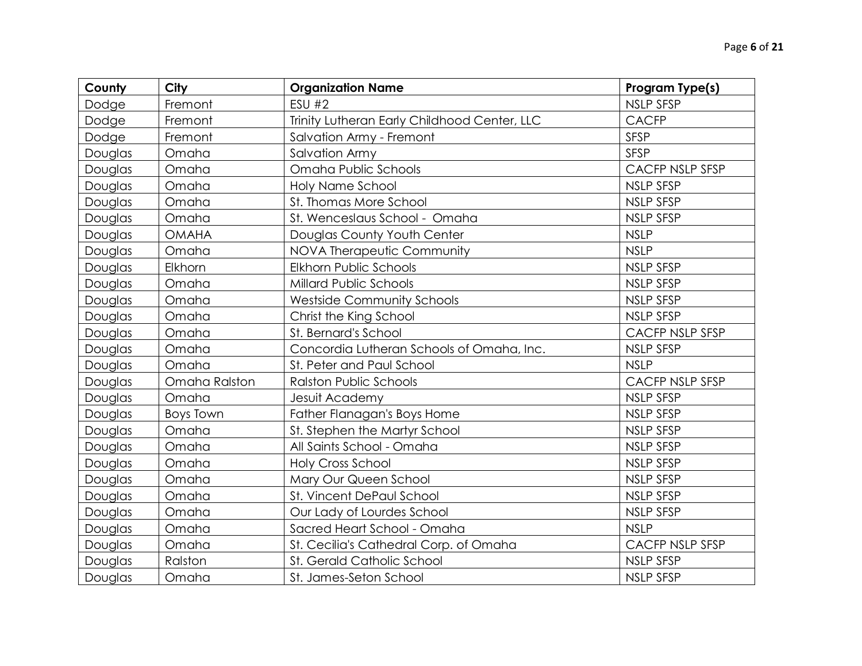| County  | <b>City</b>   | <b>Organization Name</b>                     | Program Type(s)        |
|---------|---------------|----------------------------------------------|------------------------|
| Dodge   | Fremont       | <b>ESU #2</b>                                | <b>NSLP SFSP</b>       |
| Dodge   | Fremont       | Trinity Lutheran Early Childhood Center, LLC | <b>CACFP</b>           |
| Dodge   | Fremont       | Salvation Army - Fremont                     | <b>SFSP</b>            |
| Douglas | Omaha         | <b>Salvation Army</b>                        | <b>SFSP</b>            |
| Douglas | Omaha         | Omaha Public Schools                         | CACFP NSLP SFSP        |
| Douglas | Omaha         | Holy Name School                             | <b>NSLP SFSP</b>       |
| Douglas | Omaha         | St. Thomas More School                       | NSLP SFSP              |
| Douglas | Omaha         | St. Wenceslaus School - Omaha                | <b>NSLP SFSP</b>       |
| Douglas | <b>OMAHA</b>  | Douglas County Youth Center                  | <b>NSLP</b>            |
| Douglas | Omaha         | NOVA Therapeutic Community                   | <b>NSLP</b>            |
| Douglas | Elkhorn       | Elkhorn Public Schools                       | <b>NSLP SFSP</b>       |
| Douglas | Omaha         | <b>Millard Public Schools</b>                | <b>NSLP SFSP</b>       |
| Douglas | Omaha         | <b>Westside Community Schools</b>            | <b>NSLP SFSP</b>       |
| Douglas | Omaha         | Christ the King School                       | <b>NSLP SFSP</b>       |
| Douglas | Omaha         | St. Bernard's School                         | CACFP NSLP SFSP        |
| Douglas | Omaha         | Concordia Lutheran Schools of Omaha, Inc.    | <b>NSLP SFSP</b>       |
| Douglas | Omaha         | St. Peter and Paul School                    | <b>NSLP</b>            |
| Douglas | Omaha Ralston | <b>Ralston Public Schools</b>                | CACFP NSLP SFSP        |
| Douglas | Omaha         | Jesuit Academy                               | <b>NSLP SFSP</b>       |
| Douglas | Boys Town     | Father Flanagan's Boys Home                  | <b>NSLP SFSP</b>       |
| Douglas | Omaha         | St. Stephen the Martyr School                | <b>NSLP SFSP</b>       |
| Douglas | Omaha         | All Saints School - Omaha                    | <b>NSLP SFSP</b>       |
| Douglas | Omaha         | <b>Holy Cross School</b>                     | <b>NSLP SFSP</b>       |
| Douglas | Omaha         | Mary Our Queen School                        | NSLP SFSP              |
| Douglas | Omaha         | St. Vincent DePaul School                    | <b>NSLP SFSP</b>       |
| Douglas | Omaha         | Our Lady of Lourdes School                   | <b>NSLP SFSP</b>       |
| Douglas | Omaha         | Sacred Heart School - Omaha                  | <b>NSLP</b>            |
| Douglas | Omaha         | St. Cecilia's Cathedral Corp. of Omaha       | <b>CACFP NSLP SFSP</b> |
| Douglas | Ralston       | St. Gerald Catholic School                   | NSLP SFSP              |
| Douglas | Omaha         | St. James-Seton School                       | <b>NSLP SFSP</b>       |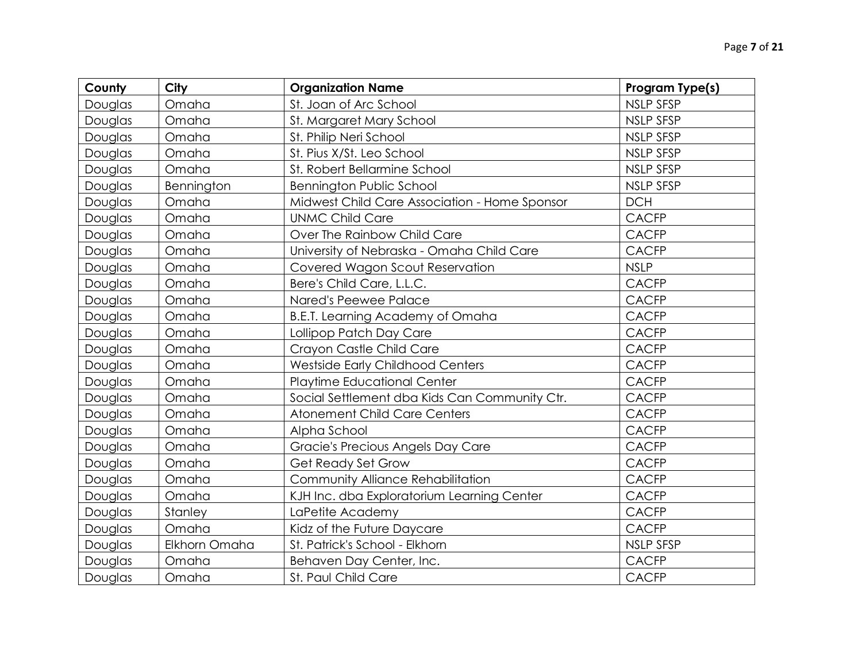| County  | City          | <b>Organization Name</b>                      | Program Type(s)  |
|---------|---------------|-----------------------------------------------|------------------|
| Douglas | Omaha         | St. Joan of Arc School                        | <b>NSLP SFSP</b> |
| Douglas | Omaha         | St. Margaret Mary School                      | <b>NSLP SFSP</b> |
| Douglas | Omaha         | St. Philip Neri School                        | <b>NSLP SFSP</b> |
| Douglas | Omaha         | St. Pius X/St. Leo School                     | <b>NSLP SFSP</b> |
| Douglas | Omaha         | St. Robert Bellarmine School                  | <b>NSLP SFSP</b> |
| Douglas | Bennington    | <b>Bennington Public School</b>               | <b>NSLP SFSP</b> |
| Douglas | Omaha         | Midwest Child Care Association - Home Sponsor | <b>DCH</b>       |
| Douglas | Omaha         | <b>UNMC Child Care</b>                        | <b>CACFP</b>     |
| Douglas | Omaha         | Over The Rainbow Child Care                   | <b>CACFP</b>     |
| Douglas | Omaha         | University of Nebraska - Omaha Child Care     | <b>CACFP</b>     |
| Douglas | Omaha         | Covered Wagon Scout Reservation               | <b>NSLP</b>      |
| Douglas | Omaha         | Bere's Child Care, L.L.C.                     | <b>CACFP</b>     |
| Douglas | Omaha         | Nared's Peewee Palace                         | <b>CACFP</b>     |
| Douglas | Omaha         | B.E.T. Learning Academy of Omaha              | <b>CACFP</b>     |
| Douglas | Omaha         | Lollipop Patch Day Care                       | <b>CACFP</b>     |
| Douglas | Omaha         | Crayon Castle Child Care                      | <b>CACFP</b>     |
| Douglas | Omaha         | Westside Early Childhood Centers              | <b>CACFP</b>     |
| Douglas | Omaha         | Playtime Educational Center                   | <b>CACFP</b>     |
| Douglas | Omaha         | Social Settlement dba Kids Can Community Ctr. | <b>CACFP</b>     |
| Douglas | Omaha         | <b>Atonement Child Care Centers</b>           | <b>CACFP</b>     |
| Douglas | Omaha         | Alpha School                                  | <b>CACFP</b>     |
| Douglas | Omaha         | Gracie's Precious Angels Day Care             | <b>CACFP</b>     |
| Douglas | Omaha         | Get Ready Set Grow                            | <b>CACFP</b>     |
| Douglas | Omaha         | Community Alliance Rehabilitation             | <b>CACFP</b>     |
| Douglas | Omaha         | KJH Inc. dba Exploratorium Learning Center    | <b>CACFP</b>     |
| Douglas | Stanley       | LaPetite Academy                              | <b>CACFP</b>     |
| Douglas | Omaha         | Kidz of the Future Daycare                    | <b>CACFP</b>     |
| Douglas | Elkhorn Omaha | St. Patrick's School - Elkhorn                | <b>NSLP SFSP</b> |
| Douglas | Omaha         | Behaven Day Center, Inc.                      | <b>CACFP</b>     |
| Douglas | Omaha         | St. Paul Child Care                           | <b>CACFP</b>     |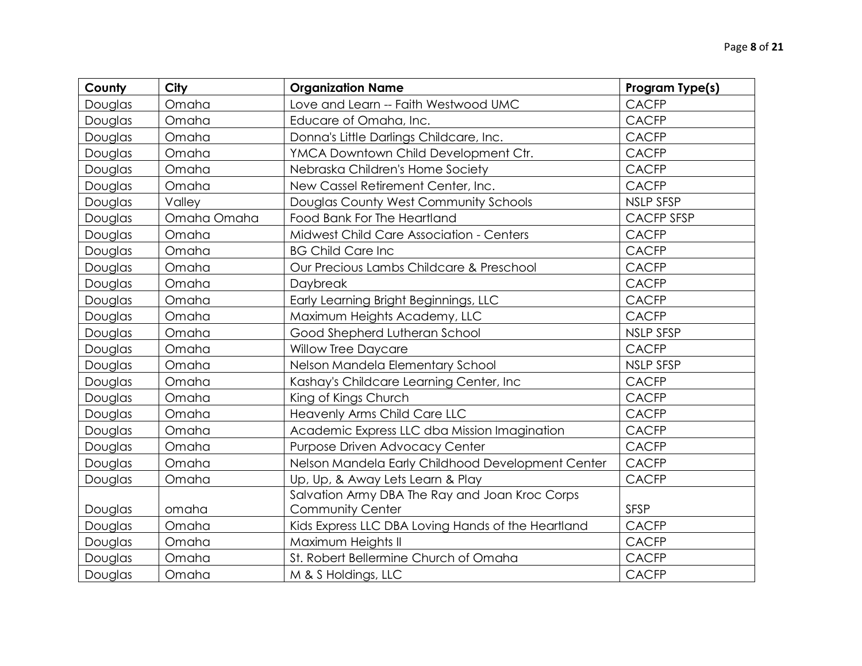| County  | <b>City</b> | <b>Organization Name</b>                           | Program Type(s)   |
|---------|-------------|----------------------------------------------------|-------------------|
| Douglas | Omaha       | Love and Learn -- Faith Westwood UMC               | <b>CACFP</b>      |
| Douglas | Omaha       | Educare of Omaha, Inc.                             | <b>CACFP</b>      |
| Douglas | Omaha       | Donna's Little Darlings Childcare, Inc.            | <b>CACFP</b>      |
| Douglas | Omaha       | YMCA Downtown Child Development Ctr.               | <b>CACFP</b>      |
| Douglas | Omaha       | Nebraska Children's Home Society                   | <b>CACFP</b>      |
| Douglas | Omaha       | New Cassel Retirement Center, Inc.                 | <b>CACFP</b>      |
| Douglas | Valley      | Douglas County West Community Schools              | <b>NSLP SFSP</b>  |
| Douglas | Omaha Omaha | Food Bank For The Heartland                        | <b>CACFP SFSP</b> |
| Douglas | Omaha       | Midwest Child Care Association - Centers           | <b>CACFP</b>      |
| Douglas | Omaha       | <b>BG Child Care Inc</b>                           | <b>CACFP</b>      |
| Douglas | Omaha       | Our Precious Lambs Childcare & Preschool           | <b>CACFP</b>      |
| Douglas | Omaha       | Daybreak                                           | <b>CACFP</b>      |
| Douglas | Omaha       | Early Learning Bright Beginnings, LLC              | <b>CACFP</b>      |
| Douglas | Omaha       | Maximum Heights Academy, LLC                       | <b>CACFP</b>      |
| Douglas | Omaha       | Good Shepherd Lutheran School                      | <b>NSLP SFSP</b>  |
| Douglas | Omaha       | <b>Willow Tree Daycare</b>                         | <b>CACFP</b>      |
| Douglas | Omaha       | Nelson Mandela Elementary School                   | <b>NSLP SFSP</b>  |
| Douglas | Omaha       | Kashay's Childcare Learning Center, Inc            | <b>CACFP</b>      |
| Douglas | Omaha       | King of Kings Church                               | <b>CACFP</b>      |
| Douglas | Omaha       | Heavenly Arms Child Care LLC                       | <b>CACFP</b>      |
| Douglas | Omaha       | Academic Express LLC dba Mission Imagination       | <b>CACFP</b>      |
| Douglas | Omaha       | Purpose Driven Advocacy Center                     | <b>CACFP</b>      |
| Douglas | Omaha       | Nelson Mandela Early Childhood Development Center  | <b>CACFP</b>      |
| Douglas | Omaha       | Up, Up, & Away Lets Learn & Play                   | <b>CACFP</b>      |
|         |             | Salvation Army DBA The Ray and Joan Kroc Corps     |                   |
| Douglas | omaha       | <b>Community Center</b>                            | <b>SFSP</b>       |
| Douglas | Omaha       | Kids Express LLC DBA Loving Hands of the Heartland | <b>CACFP</b>      |
| Douglas | Omaha       | Maximum Heights II                                 | <b>CACFP</b>      |
| Douglas | Omaha       | St. Robert Bellermine Church of Omaha              | <b>CACFP</b>      |
| Douglas | Omaha       | M & S Holdings, LLC                                | <b>CACFP</b>      |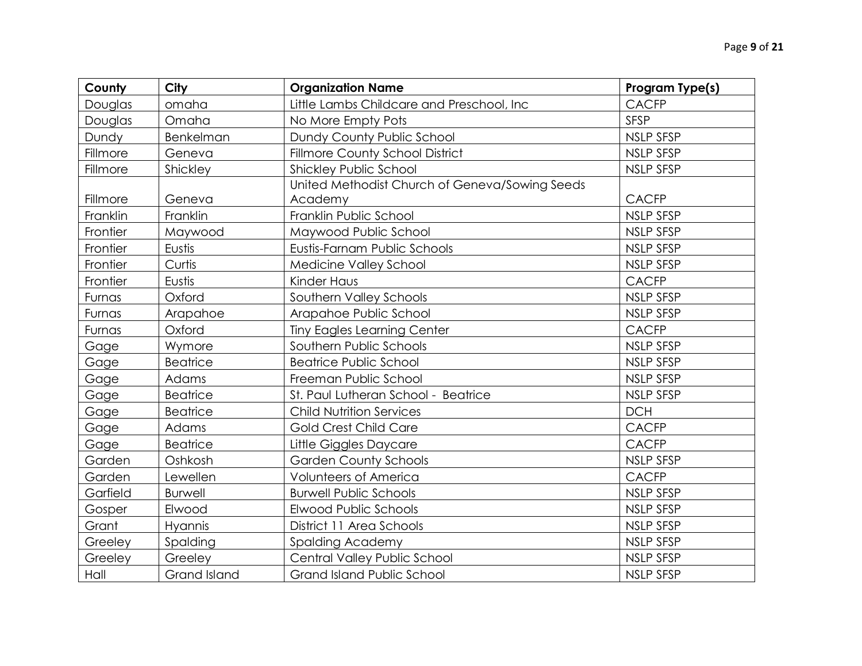| County   | <b>City</b>     | <b>Organization Name</b>                                  | Program Type(s)  |
|----------|-----------------|-----------------------------------------------------------|------------------|
| Douglas  | omaha           | Little Lambs Childcare and Preschool, Inc                 | <b>CACFP</b>     |
| Douglas  | Omaha           | No More Empty Pots                                        | <b>SFSP</b>      |
| Dundy    | Benkelman       | Dundy County Public School                                | <b>NSLP SFSP</b> |
| Fillmore | Geneva          | Fillmore County School District                           | NSLP SFSP        |
| Fillmore | Shickley        | Shickley Public School                                    | <b>NSLP SFSP</b> |
| Fillmore | Geneva          | United Methodist Church of Geneva/Sowing Seeds<br>Academy | <b>CACFP</b>     |
| Franklin | Franklin        | Franklin Public School                                    | NSLP SFSP        |
| Frontier | Maywood         | Maywood Public School                                     | <b>NSLP SFSP</b> |
| Frontier | Eustis          | Eustis-Farnam Public Schools                              | <b>NSLP SFSP</b> |
| Frontier | Curtis          | Medicine Valley School                                    | NSLP SFSP        |
| Frontier | Eustis          | Kinder Haus                                               | <b>CACFP</b>     |
| Furnas   | Oxford          | Southern Valley Schools                                   | <b>NSLP SFSP</b> |
| Furnas   | Arapahoe        | Arapahoe Public School                                    | <b>NSLP SFSP</b> |
| Furnas   | Oxford          | <b>Tiny Eagles Learning Center</b>                        | <b>CACFP</b>     |
| Gage     | Wymore          | Southern Public Schools                                   | <b>NSLP SFSP</b> |
| Gage     | <b>Beatrice</b> | <b>Beatrice Public School</b>                             | <b>NSLP SFSP</b> |
| Gage     | Adams           | Freeman Public School                                     | NSLP SFSP        |
| Gage     | <b>Beatrice</b> | St. Paul Lutheran School - Beatrice                       | <b>NSLP SFSP</b> |
| Gage     | <b>Beatrice</b> | <b>Child Nutrition Services</b>                           | <b>DCH</b>       |
| Gage     | Adams           | <b>Gold Crest Child Care</b>                              | <b>CACFP</b>     |
| Gage     | <b>Beatrice</b> | Little Giggles Daycare                                    | <b>CACFP</b>     |
| Garden   | Oshkosh         | <b>Garden County Schools</b>                              | <b>NSLP SFSP</b> |
| Garden   | Lewellen        | <b>Volunteers of America</b>                              | <b>CACFP</b>     |
| Garfield | <b>Burwell</b>  | <b>Burwell Public Schools</b>                             | NSLP SFSP        |
| Gosper   | Elwood          | Elwood Public Schools                                     | <b>NSLP SFSP</b> |
| Grant    | Hyannis         | District 11 Area Schools                                  | <b>NSLP SFSP</b> |
| Greeley  | Spalding        | <b>Spalding Academy</b>                                   | <b>NSLP SFSP</b> |
| Greeley  | Greeley         | Central Valley Public School                              | <b>NSLP SFSP</b> |
| Hall     | Grand Island    | <b>Grand Island Public School</b>                         | <b>NSLP SFSP</b> |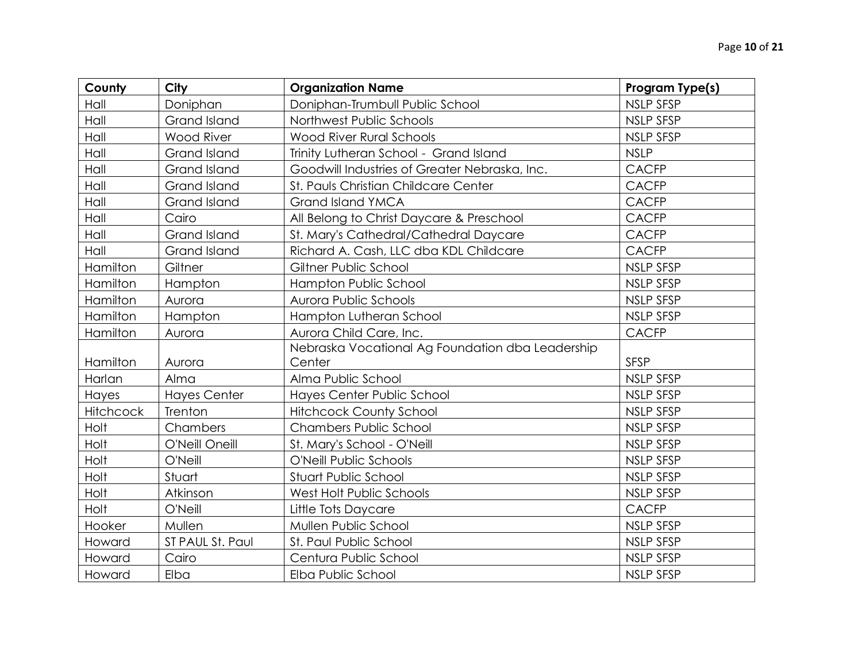| County    | <b>City</b>         | <b>Organization Name</b>                         | Program Type(s)  |
|-----------|---------------------|--------------------------------------------------|------------------|
| Hall      | Doniphan            | Doniphan-Trumbull Public School                  | <b>NSLP SFSP</b> |
| Hall      | Grand Island        | Northwest Public Schools                         | <b>NSLP SFSP</b> |
| Hall      | <b>Wood River</b>   | <b>Wood River Rural Schools</b>                  | <b>NSLP SFSP</b> |
| Hall      | <b>Grand Island</b> | Trinity Lutheran School - Grand Island           | <b>NSLP</b>      |
| Hall      | <b>Grand Island</b> | Goodwill Industries of Greater Nebraska, Inc.    | <b>CACFP</b>     |
| Hall      | <b>Grand Island</b> | St. Pauls Christian Childcare Center             | <b>CACFP</b>     |
| Hall      | <b>Grand Island</b> | <b>Grand Island YMCA</b>                         | <b>CACFP</b>     |
| Hall      | Cairo               | All Belong to Christ Daycare & Preschool         | <b>CACFP</b>     |
| Hall      | <b>Grand Island</b> | St. Mary's Cathedral/Cathedral Daycare           | <b>CACFP</b>     |
| Hall      | <b>Grand Island</b> | Richard A. Cash, LLC dba KDL Childcare           | <b>CACFP</b>     |
| Hamilton  | Giltner             | Giltner Public School                            | <b>NSLP SFSP</b> |
| Hamilton  | Hampton             | Hampton Public School                            | <b>NSLP SFSP</b> |
| Hamilton  | Aurora              | Aurora Public Schools                            | <b>NSLP SFSP</b> |
| Hamilton  | Hampton             | Hampton Lutheran School                          | <b>NSLP SFSP</b> |
| Hamilton  | Aurora              | Aurora Child Care, Inc.                          | <b>CACFP</b>     |
|           |                     | Nebraska Vocational Ag Foundation dba Leadership |                  |
| Hamilton  | Aurora              | Center                                           | <b>SFSP</b>      |
| Harlan    | Alma                | Alma Public School                               | <b>NSLP SFSP</b> |
| Hayes     | <b>Hayes Center</b> | Hayes Center Public School                       | <b>NSLP SFSP</b> |
| Hitchcock | Trenton             | <b>Hitchcock County School</b>                   | <b>NSLP SFSP</b> |
| Holt      | Chambers            | <b>Chambers Public School</b>                    | <b>NSLP SFSP</b> |
| Holt      | O'Neill Oneill      | St. Mary's School - O'Neill                      | <b>NSLP SFSP</b> |
| Holt      | O'Neill             | O'Neill Public Schools                           | <b>NSLP SFSP</b> |
| Holt      | Stuart              | Stuart Public School                             | <b>NSLP SFSP</b> |
| Holt      | Atkinson            | West Holt Public Schools                         | <b>NSLP SFSP</b> |
| Holt      | O'Neill             | Little Tots Daycare                              | <b>CACFP</b>     |
| Hooker    | Mullen              | Mullen Public School                             | <b>NSLP SFSP</b> |
| Howard    | ST PAUL St. Paul    | St. Paul Public School                           | <b>NSLP SFSP</b> |
| Howard    | Cairo               | Centura Public School                            | NSLP SFSP        |
| Howard    | Elba                | Elba Public School                               | <b>NSLP SFSP</b> |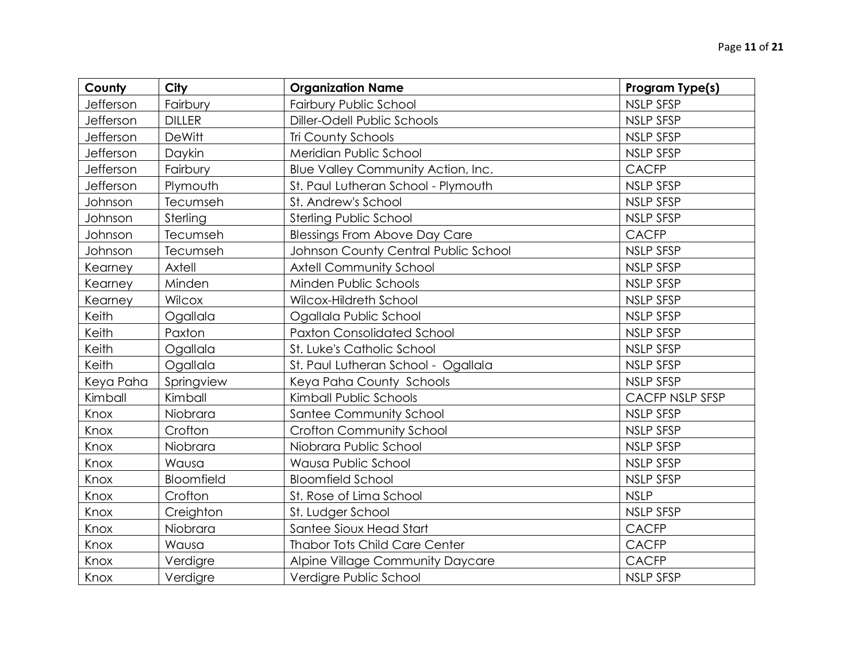| County    | City          | <b>Organization Name</b>             | Program Type(s)        |
|-----------|---------------|--------------------------------------|------------------------|
| Jefferson | Fairbury      | Fairbury Public School               | <b>NSLP SFSP</b>       |
| Jefferson | <b>DILLER</b> | Diller-Odell Public Schools          | <b>NSLP SFSP</b>       |
| Jefferson | <b>DeWitt</b> | <b>Tri County Schools</b>            | <b>NSLP SFSP</b>       |
| Jefferson | Daykin        | Meridian Public School               | <b>NSLP SFSP</b>       |
| Jefferson | Fairbury      | Blue Valley Community Action, Inc.   | <b>CACFP</b>           |
| Jefferson | Plymouth      | St. Paul Lutheran School - Plymouth  | <b>NSLP SFSP</b>       |
| Johnson   | Tecumseh      | St. Andrew's School                  | <b>NSLP SFSP</b>       |
| Johnson   | Sterling      | Sterling Public School               | <b>NSLP SFSP</b>       |
| Johnson   | Tecumseh      | <b>Blessings From Above Day Care</b> | <b>CACFP</b>           |
| Johnson   | Tecumseh      | Johnson County Central Public School | <b>NSLP SFSP</b>       |
| Kearney   | Axtell        | <b>Axtell Community School</b>       | <b>NSLP SFSP</b>       |
| Kearney   | Minden        | Minden Public Schools                | <b>NSLP SFSP</b>       |
| Kearney   | Wilcox        | Wilcox-Hildreth School               | <b>NSLP SFSP</b>       |
| Keith     | Ogallala      | Ogallala Public School               | <b>NSLP SFSP</b>       |
| Keith     | Paxton        | <b>Paxton Consolidated School</b>    | <b>NSLP SFSP</b>       |
| Keith     | Ogallala      | St. Luke's Catholic School           | <b>NSLP SFSP</b>       |
| Keith     | Ogallala      | St. Paul Lutheran School - Ogallala  | <b>NSLP SFSP</b>       |
| Keya Paha | Springview    | Keya Paha County Schools             | <b>NSLP SFSP</b>       |
| Kimball   | Kimball       | Kimball Public Schools               | <b>CACFP NSLP SFSP</b> |
| Knox      | Niobrara      | Santee Community School              | <b>NSLP SFSP</b>       |
| Knox      | Crofton       | Crofton Community School             | <b>NSLP SFSP</b>       |
| Knox      | Niobrara      | Niobrara Public School               | <b>NSLP SFSP</b>       |
| Knox      | Wausa         | Wausa Public School                  | <b>NSLP SFSP</b>       |
| Knox      | Bloomfield    | <b>Bloomfield School</b>             | <b>NSLP SFSP</b>       |
| Knox      | Crofton       | St. Rose of Lima School              | <b>NSLP</b>            |
| Knox      | Creighton     | St. Ludger School                    | <b>NSLP SFSP</b>       |
| Knox      | Niobrara      | Santee Sioux Head Start              | <b>CACFP</b>           |
| Knox      | Wausa         | <b>Thabor Tots Child Care Center</b> | <b>CACFP</b>           |
| Knox      | Verdigre      | Alpine Village Community Daycare     | <b>CACFP</b>           |
| Knox      | Verdigre      | Verdigre Public School               | <b>NSLP SFSP</b>       |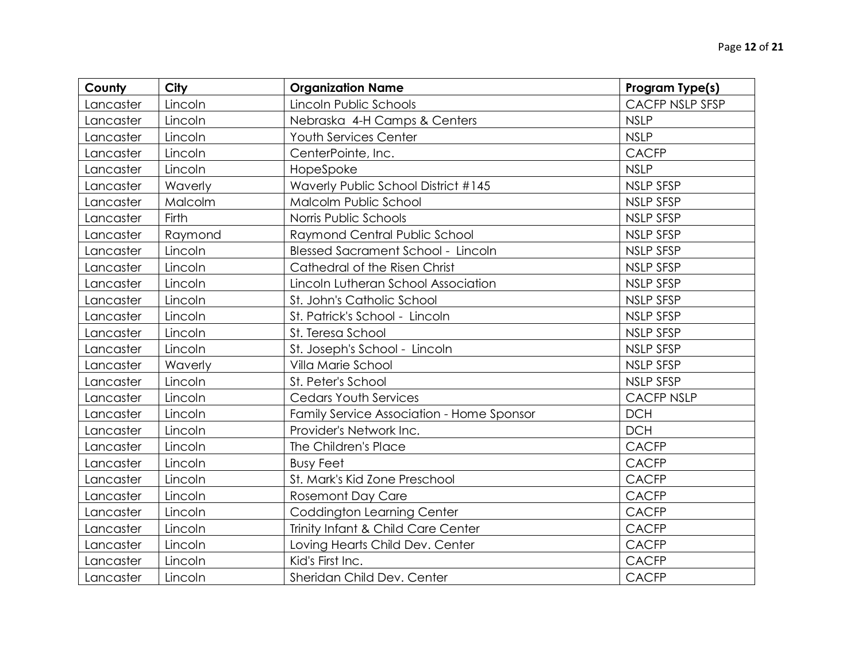| County    | City         | <b>Organization Name</b>                  | Program Type(s)   |
|-----------|--------------|-------------------------------------------|-------------------|
| Lancaster | Lincoln      | Lincoln Public Schools                    | CACFP NSLP SFSP   |
| Lancaster | Lincoln      | Nebraska 4-H Camps & Centers              | <b>NSLP</b>       |
| Lancaster | Lincoln      | Youth Services Center                     | <b>NSLP</b>       |
| Lancaster | Lincoln      | CenterPointe, Inc.                        | <b>CACFP</b>      |
| Lancaster | Lincoln      | HopeSpoke                                 | <b>NSLP</b>       |
| Lancaster | Waverly      | Waverly Public School District #145       | <b>NSLP SFSP</b>  |
| Lancaster | Malcolm      | Malcolm Public School                     | <b>NSLP SFSP</b>  |
| Lancaster | <b>Firth</b> | Norris Public Schools                     | <b>NSLP SFSP</b>  |
| Lancaster | Raymond      | Raymond Central Public School             | <b>NSLP SFSP</b>  |
| Lancaster | Lincoln      | <b>Blessed Sacrament School - Lincoln</b> | NSLP SFSP         |
| Lancaster | Lincoln      | Cathedral of the Risen Christ             | <b>NSLP SFSP</b>  |
| Lancaster | Lincoln      | Lincoln Lutheran School Association       | <b>NSLP SFSP</b>  |
| Lancaster | Lincoln      | St. John's Catholic School                | <b>NSLP SFSP</b>  |
| Lancaster | Lincoln      | St. Patrick's School - Lincoln            | NSLP SFSP         |
| Lancaster | Lincoln      | St. Teresa School                         | NSLP SFSP         |
| Lancaster | Lincoln      | St. Joseph's School - Lincoln             | <b>NSLP SFSP</b>  |
| Lancaster | Waverly      | Villa Marie School                        | <b>NSLP SFSP</b>  |
| Lancaster | Lincoln      | St. Peter's School                        | NSLP SFSP         |
| Lancaster | Lincoln      | <b>Cedars Youth Services</b>              | <b>CACFP NSLP</b> |
| Lancaster | Lincoln      | Family Service Association - Home Sponsor | <b>DCH</b>        |
| Lancaster | Lincoln      | Provider's Network Inc.                   | <b>DCH</b>        |
| Lancaster | Lincoln      | The Children's Place                      | <b>CACFP</b>      |
| Lancaster | Lincoln      | <b>Busy Feet</b>                          | <b>CACFP</b>      |
| Lancaster | Lincoln      | St. Mark's Kid Zone Preschool             | <b>CACFP</b>      |
| Lancaster | Lincoln      | <b>Rosemont Day Care</b>                  | <b>CACFP</b>      |
| Lancaster | Lincoln      | Coddington Learning Center                | <b>CACFP</b>      |
| Lancaster | Lincoln      | Trinity Infant & Child Care Center        | <b>CACFP</b>      |
| Lancaster | Lincoln      | Loving Hearts Child Dev. Center           | <b>CACFP</b>      |
| Lancaster | Lincoln      | Kid's First Inc.                          | <b>CACFP</b>      |
| Lancaster | Lincoln      | Sheridan Child Dev. Center                | <b>CACFP</b>      |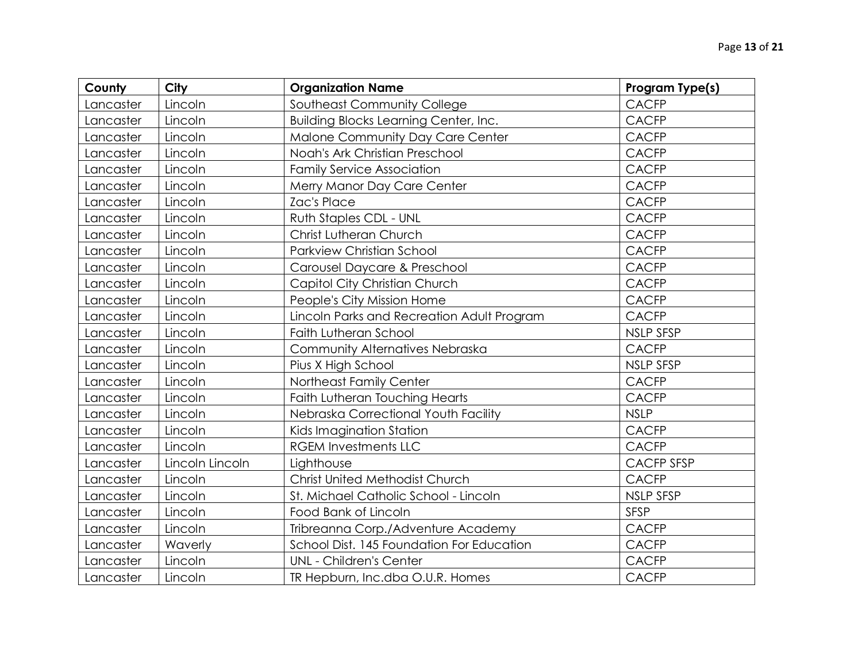| County    | City            | <b>Organization Name</b>                   | Program Type(s)   |
|-----------|-----------------|--------------------------------------------|-------------------|
| Lancaster | Lincoln         | Southeast Community College                | <b>CACFP</b>      |
| Lancaster | Lincoln         | Building Blocks Learning Center, Inc.      | <b>CACFP</b>      |
| Lancaster | Lincoln         | Malone Community Day Care Center           | <b>CACFP</b>      |
| Lancaster | Lincoln         | Noah's Ark Christian Preschool             | <b>CACFP</b>      |
| Lancaster | Lincoln         | <b>Family Service Association</b>          | <b>CACFP</b>      |
| Lancaster | Lincoln         | Merry Manor Day Care Center                | <b>CACFP</b>      |
| Lancaster | Lincoln         | <b>Zac's Place</b>                         | <b>CACFP</b>      |
| Lancaster | Lincoln         | Ruth Staples CDL - UNL                     | <b>CACFP</b>      |
| Lancaster | Lincoln         | Christ Lutheran Church                     | <b>CACFP</b>      |
| Lancaster | Lincoln         | <b>Parkview Christian School</b>           | <b>CACFP</b>      |
| Lancaster | Lincoln         | Carousel Daycare & Preschool               | <b>CACFP</b>      |
| Lancaster | Lincoln         | Capitol City Christian Church              | <b>CACFP</b>      |
| Lancaster | Lincoln         | People's City Mission Home                 | <b>CACFP</b>      |
| Lancaster | Lincoln         | Lincoln Parks and Recreation Adult Program | <b>CACFP</b>      |
| Lancaster | Lincoln         | Faith Lutheran School                      | <b>NSLP SFSP</b>  |
| Lancaster | Lincoln         | Community Alternatives Nebraska            | <b>CACFP</b>      |
| Lancaster | Lincoln         | Pius X High School                         | <b>NSLP SFSP</b>  |
| Lancaster | Lincoln         | Northeast Family Center                    | <b>CACFP</b>      |
| Lancaster | Lincoln         | Faith Lutheran Touching Hearts             | <b>CACFP</b>      |
| Lancaster | Lincoln         | Nebraska Correctional Youth Facility       | <b>NSLP</b>       |
| Lancaster | Lincoln         | Kids Imagination Station                   | <b>CACFP</b>      |
| Lancaster | Lincoln         | <b>RGEM Investments LLC</b>                | <b>CACFP</b>      |
| Lancaster | Lincoln Lincoln | Lighthouse                                 | <b>CACFP SFSP</b> |
| Lancaster | Lincoln         | <b>Christ United Methodist Church</b>      | <b>CACFP</b>      |
| Lancaster | Lincoln         | St. Michael Catholic School - Lincoln      | <b>NSLP SFSP</b>  |
| Lancaster | Lincoln         | Food Bank of Lincoln                       | <b>SFSP</b>       |
| Lancaster | Lincoln         | Tribreanna Corp./Adventure Academy         | <b>CACFP</b>      |
| Lancaster | Waverly         | School Dist. 145 Foundation For Education  | <b>CACFP</b>      |
| Lancaster | Lincoln         | <b>UNL - Children's Center</b>             | <b>CACFP</b>      |
| Lancaster | Lincoln         | TR Hepburn, Inc.dba O.U.R. Homes           | <b>CACFP</b>      |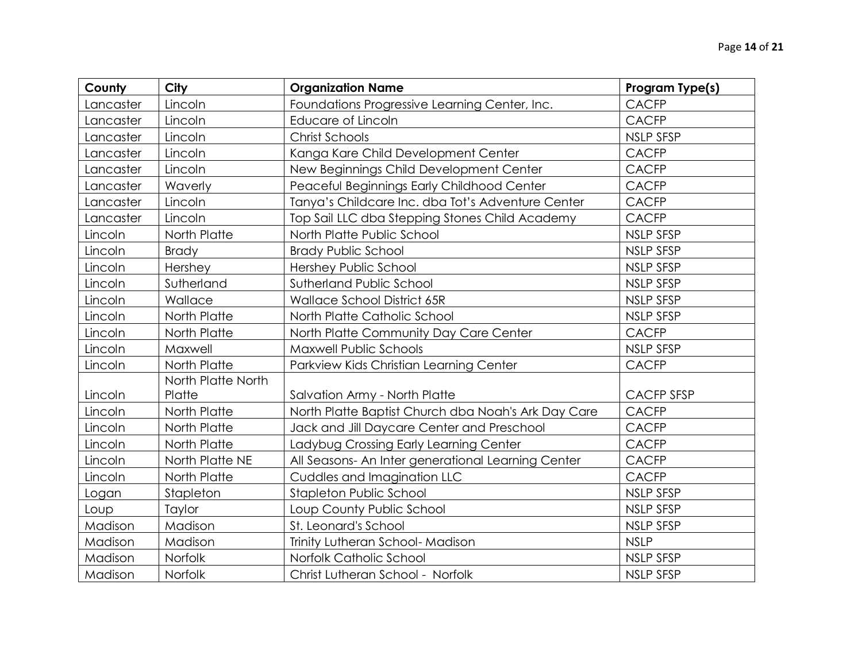| County    | City               | <b>Organization Name</b>                            | Program Type(s)   |
|-----------|--------------------|-----------------------------------------------------|-------------------|
| Lancaster | Lincoln            | Foundations Progressive Learning Center, Inc.       | <b>CACFP</b>      |
| Lancaster | Lincoln            | Educare of Lincoln                                  | <b>CACFP</b>      |
| Lancaster | Lincoln            | <b>Christ Schools</b>                               | NSLP SFSP         |
| Lancaster | Lincoln            | Kanga Kare Child Development Center                 | <b>CACFP</b>      |
| Lancaster | Lincoln            | New Beginnings Child Development Center             | <b>CACFP</b>      |
| Lancaster | Waverly            | Peaceful Beginnings Early Childhood Center          | <b>CACFP</b>      |
| Lancaster | Lincoln            | Tanya's Childcare Inc. dba Tot's Adventure Center   | <b>CACFP</b>      |
| Lancaster | Lincoln            | Top Sail LLC dba Stepping Stones Child Academy      | <b>CACFP</b>      |
| Lincoln   | North Platte       | North Platte Public School                          | <b>NSLP SFSP</b>  |
| Lincoln   | <b>Brady</b>       | <b>Brady Public School</b>                          | <b>NSLP SFSP</b>  |
| Lincoln   | Hershey            | Hershey Public School                               | <b>NSLP SFSP</b>  |
| Lincoln   | Sutherland         | Sutherland Public School                            | NSLP SFSP         |
| Lincoln   | Wallace            | Wallace School District 65R                         | <b>NSLP SFSP</b>  |
| Lincoln   | North Platte       | North Platte Catholic School                        | NSLP SFSP         |
| Lincoln   | North Platte       | North Platte Community Day Care Center              | <b>CACFP</b>      |
| Lincoln   | Maxwell            | <b>Maxwell Public Schools</b>                       | <b>NSLP SFSP</b>  |
| Lincoln   | North Platte       | Parkview Kids Christian Learning Center             | <b>CACFP</b>      |
|           | North Platte North |                                                     |                   |
| Lincoln   | Platte             | Salvation Army - North Platte                       | <b>CACFP SFSP</b> |
| Lincoln   | North Platte       | North Platte Baptist Church dba Noah's Ark Day Care | <b>CACFP</b>      |
| Lincoln   | North Platte       | Jack and Jill Daycare Center and Preschool          | <b>CACFP</b>      |
| Lincoln   | North Platte       | Ladybug Crossing Early Learning Center              | <b>CACFP</b>      |
| Lincoln   | North Platte NE    | All Seasons- An Inter generational Learning Center  | <b>CACFP</b>      |
| Lincoln   | North Platte       | Cuddles and Imagination LLC                         | <b>CACFP</b>      |
| Logan     | Stapleton          | Stapleton Public School                             | <b>NSLP SFSP</b>  |
| Loup      | Taylor             | Loup County Public School                           | <b>NSLP SFSP</b>  |
| Madison   | Madison            | St. Leonard's School                                | <b>NSLP SFSP</b>  |
| Madison   | Madison            | Trinity Lutheran School- Madison                    | <b>NSLP</b>       |
| Madison   | Norfolk            | Norfolk Catholic School                             | <b>NSLP SFSP</b>  |
| Madison   | Norfolk            | Christ Lutheran School - Norfolk                    | <b>NSLP SFSP</b>  |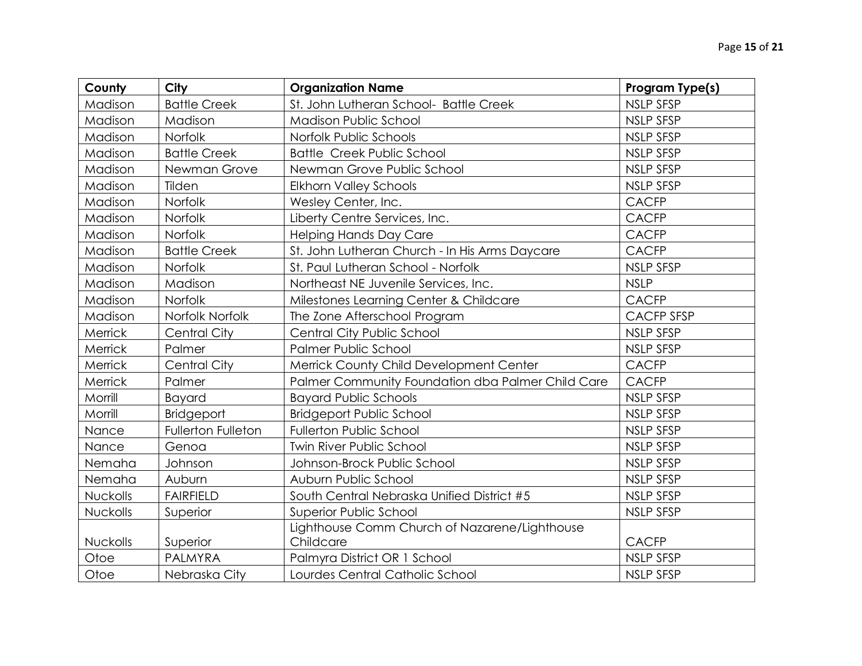| County   | City                | <b>Organization Name</b>                                   | Program Type(s)   |
|----------|---------------------|------------------------------------------------------------|-------------------|
| Madison  | <b>Battle Creek</b> | St. John Lutheran School- Battle Creek                     | <b>NSLP SFSP</b>  |
| Madison  | Madison             | <b>Madison Public School</b>                               | NSLP SFSP         |
| Madison  | Norfolk             | Norfolk Public Schools                                     | NSLP SFSP         |
| Madison  | <b>Battle Creek</b> | <b>Battle Creek Public School</b>                          | <b>NSLP SFSP</b>  |
| Madison  | Newman Grove        | Newman Grove Public School                                 | NSLP SFSP         |
| Madison  | Tilden              | <b>Elkhorn Valley Schools</b>                              | <b>NSLP SFSP</b>  |
| Madison  | Norfolk             | Wesley Center, Inc.                                        | <b>CACFP</b>      |
| Madison  | Norfolk             | Liberty Centre Services, Inc.                              | <b>CACFP</b>      |
| Madison  | Norfolk             | <b>Helping Hands Day Care</b>                              | <b>CACFP</b>      |
| Madison  | <b>Battle Creek</b> | St. John Lutheran Church - In His Arms Daycare             | <b>CACFP</b>      |
| Madison  | Norfolk             | St. Paul Lutheran School - Norfolk                         | <b>NSLP SFSP</b>  |
| Madison  | Madison             | Northeast NE Juvenile Services, Inc.                       | <b>NSLP</b>       |
| Madison  | Norfolk             | Milestones Learning Center & Childcare                     | <b>CACFP</b>      |
| Madison  | Norfolk Norfolk     | The Zone Afterschool Program                               | <b>CACFP SFSP</b> |
| Merrick  | <b>Central City</b> | Central City Public School                                 | <b>NSLP SFSP</b>  |
| Merrick  | Palmer              | Palmer Public School                                       | NSLP SFSP         |
| Merrick  | <b>Central City</b> | Merrick County Child Development Center                    | <b>CACFP</b>      |
| Merrick  | Palmer              | Palmer Community Foundation dba Palmer Child Care          | <b>CACFP</b>      |
| Morrill  | <b>Bayard</b>       | <b>Bayard Public Schools</b>                               | <b>NSLP SFSP</b>  |
| Morrill  | <b>Bridgeport</b>   | <b>Bridgeport Public School</b>                            | <b>NSLP SFSP</b>  |
| Nance    | Fullerton Fulleton  | <b>Fullerton Public School</b>                             | NSLP SFSP         |
| Nance    | Genoa               | <b>Twin River Public School</b>                            | <b>NSLP SFSP</b>  |
| Nemaha   | Johnson             | Johnson-Brock Public School                                | NSLP SFSP         |
| Nemaha   | Auburn              | Auburn Public School                                       | <b>NSLP SFSP</b>  |
| Nuckolls | <b>FAIRFIELD</b>    | South Central Nebraska Unified District #5                 | <b>NSLP SFSP</b>  |
| Nuckolls | Superior            | Superior Public School                                     | NSLP SFSP         |
| Nuckolls | Superior            | Lighthouse Comm Church of Nazarene/Lighthouse<br>Childcare | <b>CACFP</b>      |
| Otoe     | <b>PALMYRA</b>      | Palmyra District OR 1 School                               | <b>NSLP SFSP</b>  |
| Otoe     | Nebraska City       | Lourdes Central Catholic School                            | <b>NSLP SFSP</b>  |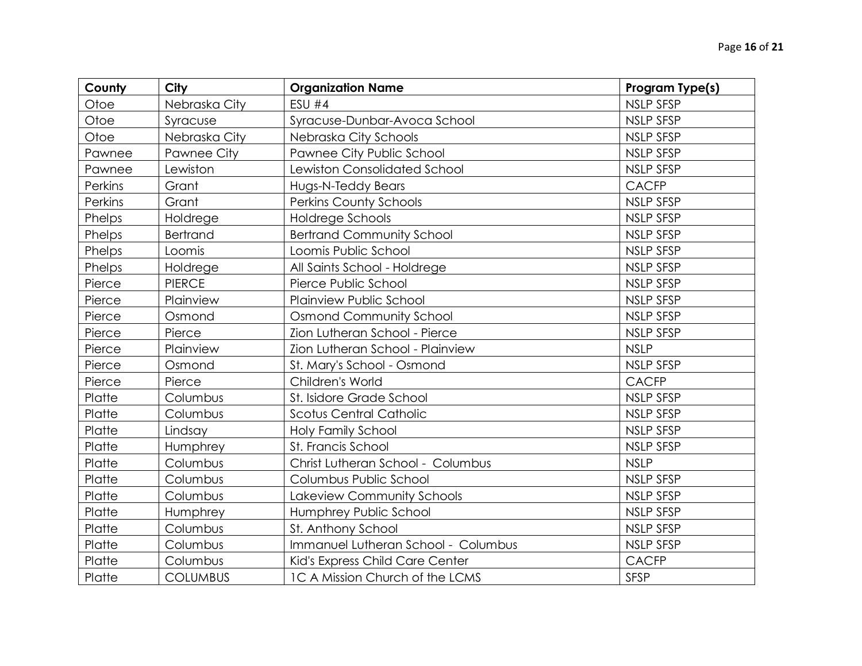| County  | City            | <b>Organization Name</b>            | Program Type(s)  |
|---------|-----------------|-------------------------------------|------------------|
| Otoe    | Nebraska City   | <b>ESU #4</b>                       | <b>NSLP SFSP</b> |
| Otoe    | Syracuse        | Syracuse-Dunbar-Avoca School        | <b>NSLP SFSP</b> |
| Otoe    | Nebraska City   | Nebraska City Schools               | NSLP SFSP        |
| Pawnee  | Pawnee City     | Pawnee City Public School           | <b>NSLP SFSP</b> |
| Pawnee  | Lewiston        | <b>Lewiston Consolidated School</b> | NSLP SFSP        |
| Perkins | Grant           | Hugs-N-Teddy Bears                  | <b>CACFP</b>     |
| Perkins | Grant           | <b>Perkins County Schools</b>       | <b>NSLP SFSP</b> |
| Phelps  | Holdrege        | Holdrege Schools                    | NSLP SFSP        |
| Phelps  | Bertrand        | <b>Bertrand Community School</b>    | <b>NSLP SFSP</b> |
| Phelps  | Loomis          | Loomis Public School                | NSLP SFSP        |
| Phelps  | Holdrege        | All Saints School - Holdrege        | <b>NSLP SFSP</b> |
| Pierce  | <b>PIERCE</b>   | Pierce Public School                | NSLP SFSP        |
| Pierce  | Plainview       | Plainview Public School             | <b>NSLP SFSP</b> |
| Pierce  | Osmond          | <b>Osmond Community School</b>      | <b>NSLP SFSP</b> |
| Pierce  | Pierce          | Zion Lutheran School - Pierce       | <b>NSLP SFSP</b> |
| Pierce  | Plainview       | Zion Lutheran School - Plainview    | <b>NSLP</b>      |
| Pierce  | Osmond          | St. Mary's School - Osmond          | <b>NSLP SFSP</b> |
| Pierce  | Pierce          | Children's World                    | <b>CACFP</b>     |
| Platte  | Columbus        | St. Isidore Grade School            | <b>NSLP SFSP</b> |
| Platte  | Columbus        | Scotus Central Catholic             | <b>NSLP SFSP</b> |
| Platte  | Lindsay         | Holy Family School                  | <b>NSLP SFSP</b> |
| Platte  | Humphrey        | St. Francis School                  | NSLP SFSP        |
| Platte  | Columbus        | Christ Lutheran School - Columbus   | <b>NSLP</b>      |
| Platte  | Columbus        | Columbus Public School              | <b>NSLP SFSP</b> |
| Platte  | Columbus        | Lakeview Community Schools          | NSLP SFSP        |
| Platte  | Humphrey        | Humphrey Public School              | <b>NSLP SFSP</b> |
| Platte  | Columbus        | St. Anthony School                  | <b>NSLP SFSP</b> |
| Platte  | Columbus        | Immanuel Lutheran School - Columbus | NSLP SFSP        |
| Platte  | Columbus        | Kid's Express Child Care Center     | <b>CACFP</b>     |
| Platte  | <b>COLUMBUS</b> | 1C A Mission Church of the LCMS     | <b>SFSP</b>      |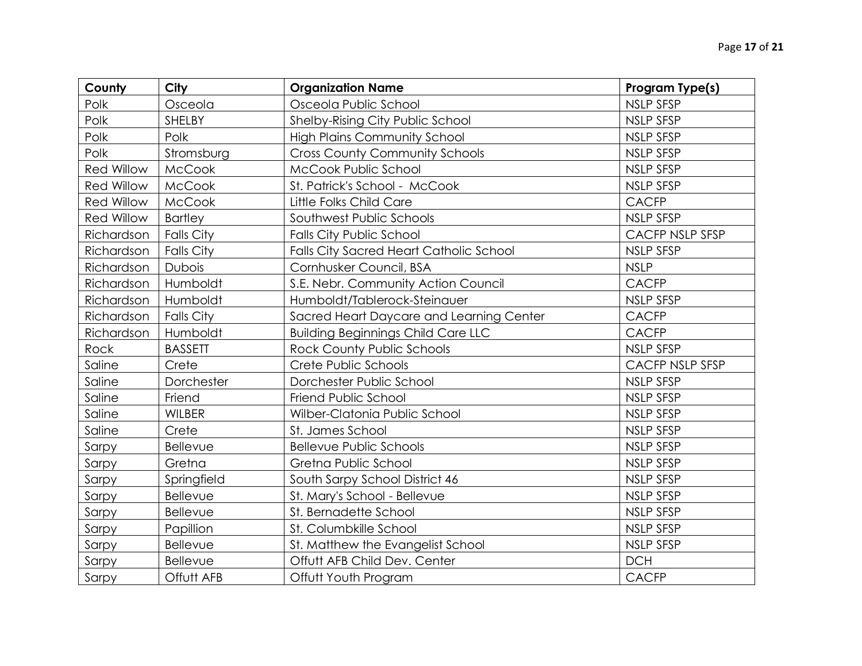| County            | <b>City</b>       | <b>Organization Name</b>                  | Program Type(s)        |
|-------------------|-------------------|-------------------------------------------|------------------------|
| Polk              | Osceola           | Osceola Public School                     | <b>NSLP SFSP</b>       |
| Polk              | SHELBY            | Shelby-Rising City Public School          | <b>NSLP SFSP</b>       |
| Polk              | Polk              | <b>High Plains Community School</b>       | <b>NSLP SFSP</b>       |
| Polk              | Stromsburg        | <b>Cross County Community Schools</b>     | <b>NSLP SFSP</b>       |
| <b>Red Willow</b> | <b>McCook</b>     | McCook Public School                      | NSLP SFSP              |
| <b>Red Willow</b> | McCook            | St. Patrick's School - McCook             | <b>NSLP SFSP</b>       |
| <b>Red Willow</b> | <b>McCook</b>     | Little Folks Child Care                   | <b>CACFP</b>           |
| <b>Red Willow</b> | <b>Bartley</b>    | Southwest Public Schools                  | NSLP SFSP              |
| Richardson        | <b>Falls City</b> | <b>Falls City Public School</b>           | <b>CACFP NSLP SFSP</b> |
| Richardson        | <b>Falls City</b> | Falls City Sacred Heart Catholic School   | <b>NSLP SFSP</b>       |
| Richardson        | Dubois            | Cornhusker Council, BSA                   | <b>NSLP</b>            |
| Richardson        | Humboldt          | S.E. Nebr. Community Action Council       | <b>CACFP</b>           |
| Richardson        | Humboldt          | Humboldt/Tablerock-Steinauer              | NSLP SFSP              |
| Richardson        | <b>Falls City</b> | Sacred Heart Daycare and Learning Center  | <b>CACFP</b>           |
| Richardson        | Humboldt          | <b>Building Beginnings Child Care LLC</b> | <b>CACFP</b>           |
| Rock              | <b>BASSETT</b>    | Rock County Public Schools                | <b>NSLP SFSP</b>       |
| Saline            | Crete             | Crete Public Schools                      | <b>CACFP NSLP SFSP</b> |
| Saline            | Dorchester        | Dorchester Public School                  | <b>NSLP SFSP</b>       |
| Saline            | Friend            | Friend Public School                      | <b>NSLP SFSP</b>       |
| Saline            | <b>WILBER</b>     | Wilber-Clatonia Public School             | <b>NSLP SFSP</b>       |
| Saline            | Crete             | St. James School                          | <b>NSLP SFSP</b>       |
| Sarpy             | Bellevue          | <b>Bellevue Public Schools</b>            | <b>NSLP SFSP</b>       |
| Sarpy             | Gretna            | Gretna Public School                      | <b>NSLP SFSP</b>       |
| Sarpy             | Springfield       | South Sarpy School District 46            | NSLP SFSP              |
| Sarpy             | Bellevue          | St. Mary's School - Bellevue              | <b>NSLP SFSP</b>       |
| Sarpy             | Bellevue          | St. Bernadette School                     | <b>NSLP SFSP</b>       |
| Sarpy             | Papillion         | St. Columbkille School                    | NSLP SFSP              |
| Sarpy             | Bellevue          | St. Matthew the Evangelist School         | <b>NSLP SFSP</b>       |
| Sarpy             | Bellevue          | Offutt AFB Child Dev. Center              | <b>DCH</b>             |
| Sarpy             | Offutt AFB        | Offutt Youth Program                      | <b>CACFP</b>           |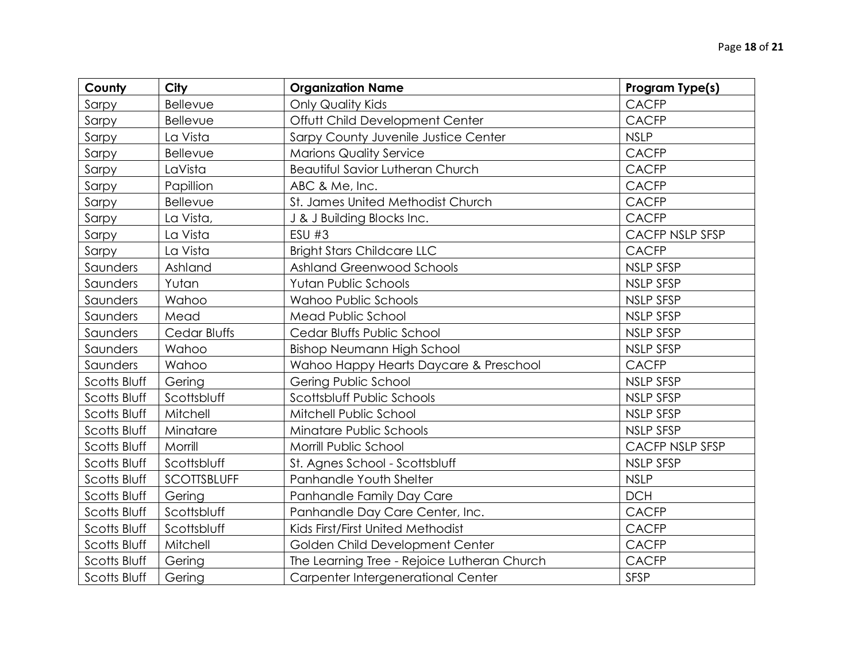| County       | City               | <b>Organization Name</b>                    | Program Type(s)  |
|--------------|--------------------|---------------------------------------------|------------------|
| Sarpy        | Bellevue           | <b>Only Quality Kids</b>                    | <b>CACFP</b>     |
| Sarpy        | Bellevue           | Offutt Child Development Center             | <b>CACFP</b>     |
| Sarpy        | La Vista           | Sarpy County Juvenile Justice Center        | <b>NSLP</b>      |
| Sarpy        | Bellevue           | <b>Marions Quality Service</b>              | <b>CACFP</b>     |
| Sarpy        | LaVista            | <b>Beautiful Savior Lutheran Church</b>     | <b>CACFP</b>     |
| Sarpy        | Papillion          | ABC & Me, Inc.                              | <b>CACFP</b>     |
| Sarpy        | Bellevue           | St. James United Methodist Church           | <b>CACFP</b>     |
| Sarpy        | La Vista,          | J & J Building Blocks Inc.                  | <b>CACFP</b>     |
| Sarpy        | La Vista           | <b>ESU #3</b>                               | CACFP NSLP SFSP  |
| Sarpy        | La Vista           | <b>Bright Stars Childcare LLC</b>           | <b>CACFP</b>     |
| Saunders     | Ashland            | <b>Ashland Greenwood Schools</b>            | <b>NSLP SFSP</b> |
| Saunders     | Yutan              | <b>Yutan Public Schools</b>                 | <b>NSLP SFSP</b> |
| Saunders     | Wahoo              | <b>Wahoo Public Schools</b>                 | <b>NSLP SFSP</b> |
| Saunders     | Mead               | Mead Public School                          | <b>NSLP SFSP</b> |
| Saunders     | Cedar Bluffs       | Cedar Bluffs Public School                  | <b>NSLP SFSP</b> |
| Saunders     | Wahoo              | <b>Bishop Neumann High School</b>           | <b>NSLP SFSP</b> |
| Saunders     | Wahoo              | Wahoo Happy Hearts Daycare & Preschool      | <b>CACFP</b>     |
| Scotts Bluff | Gering             | Gering Public School                        | <b>NSLP SFSP</b> |
| Scotts Bluff | Scottsbluff        | Scottsbluff Public Schools                  | <b>NSLP SFSP</b> |
| Scotts Bluff | Mitchell           | Mitchell Public School                      | <b>NSLP SFSP</b> |
| Scotts Bluff | Minatare           | Minatare Public Schools                     | <b>NSLP SFSP</b> |
| Scotts Bluff | Morrill            | Morrill Public School                       | CACFP NSLP SFSP  |
| Scotts Bluff | Scottsbluff        | St. Agnes School - Scottsbluff              | <b>NSLP SFSP</b> |
| Scotts Bluff | <b>SCOTTSBLUFF</b> | Panhandle Youth Shelter                     | <b>NSLP</b>      |
| Scotts Bluff | Gering             | Panhandle Family Day Care                   | <b>DCH</b>       |
| Scotts Bluff | Scottsbluff        | Panhandle Day Care Center, Inc.             | <b>CACFP</b>     |
| Scotts Bluff | Scottsbluff        | Kids First/First United Methodist           | <b>CACFP</b>     |
| Scotts Bluff | Mitchell           | Golden Child Development Center             | <b>CACFP</b>     |
| Scotts Bluff | Gering             | The Learning Tree - Rejoice Lutheran Church | <b>CACFP</b>     |
| Scotts Bluff | Gering             | Carpenter Intergenerational Center          | <b>SFSP</b>      |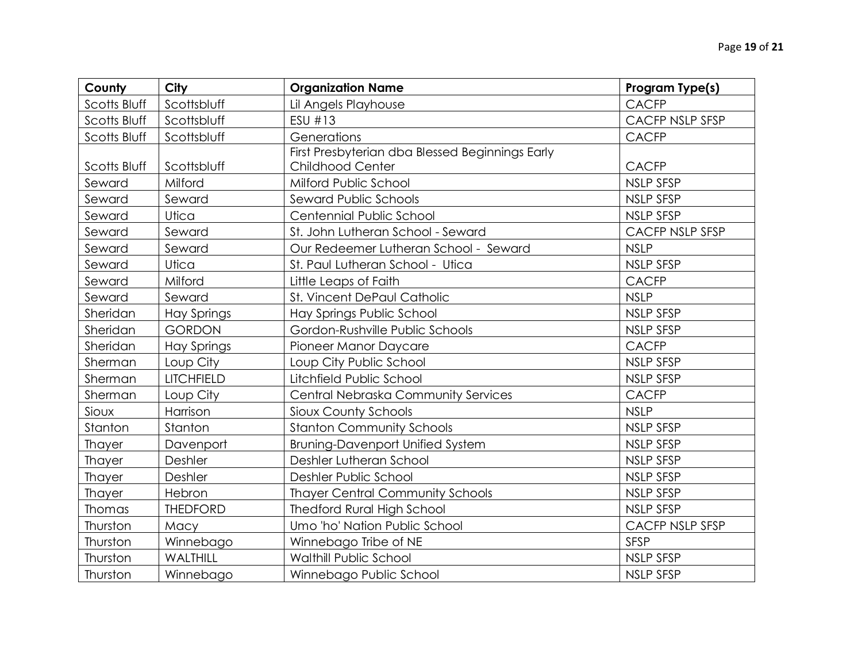| County        | City               | <b>Organization Name</b>                        | Program Type(s)        |
|---------------|--------------------|-------------------------------------------------|------------------------|
| Scotts Bluff  | Scottsbluff        | Lil Angels Playhouse                            | <b>CACFP</b>           |
| Scotts Bluff  | Scottsbluff        | ESU #13                                         | <b>CACFP NSLP SFSP</b> |
| Scotts Bluff  | Scottsbluff        | Generations                                     | <b>CACFP</b>           |
|               |                    | First Presbyterian dba Blessed Beginnings Early |                        |
| Scotts Bluff  | Scottsbluff        | <b>Childhood Center</b>                         | <b>CACFP</b>           |
| Seward        | Milford            | Milford Public School                           | <b>NSLP SFSP</b>       |
| Seward        | Seward             | Seward Public Schools                           | <b>NSLP SFSP</b>       |
| Seward        | Utica              | Centennial Public School                        | <b>NSLP SFSP</b>       |
| Seward        | Seward             | St. John Lutheran School - Seward               | <b>CACFP NSLP SFSP</b> |
| Seward        | Seward             | Our Redeemer Lutheran School - Seward           | <b>NSLP</b>            |
| Seward        | Utica              | St. Paul Lutheran School - Utica                | NSLP SFSP              |
| Seward        | Milford            | Little Leaps of Faith                           | <b>CACFP</b>           |
| Seward        | Seward             | St. Vincent DePaul Catholic                     | <b>NSLP</b>            |
| Sheridan      | <b>Hay Springs</b> | Hay Springs Public School                       | <b>NSLP SFSP</b>       |
| Sheridan      | <b>GORDON</b>      | Gordon-Rushville Public Schools                 | <b>NSLP SFSP</b>       |
| Sheridan      | <b>Hay Springs</b> | Pioneer Manor Daycare                           | <b>CACFP</b>           |
| Sherman       | Loup City          | Loup City Public School                         | <b>NSLP SFSP</b>       |
| Sherman       | <b>LITCHFIELD</b>  | Litchfield Public School                        | <b>NSLP SFSP</b>       |
| Sherman       | Loup City          | Central Nebraska Community Services             | <b>CACFP</b>           |
| Sioux         | Harrison           | Sioux County Schools                            | <b>NSLP</b>            |
| Stanton       | Stanton            | <b>Stanton Community Schools</b>                | <b>NSLP SFSP</b>       |
| Thayer        | Davenport          | <b>Bruning-Davenport Unified System</b>         | <b>NSLP SFSP</b>       |
| <b>Thayer</b> | Deshler            | Deshler Lutheran School                         | <b>NSLP SFSP</b>       |
| Thayer        | Deshler            | Deshler Public School                           | <b>NSLP SFSP</b>       |
| Thayer        | Hebron             | <b>Thayer Central Community Schools</b>         | <b>NSLP SFSP</b>       |
| Thomas        | <b>THEDFORD</b>    | <b>Thedford Rural High School</b>               | <b>NSLP SFSP</b>       |
| Thurston      | Macy               | Umo 'ho' Nation Public School                   | CACFP NSLP SFSP        |
| Thurston      | Winnebago          | Winnebago Tribe of NE                           | <b>SFSP</b>            |
| Thurston      | WALTHILL           | <b>Walthill Public School</b>                   | <b>NSLP SFSP</b>       |
| Thurston      | Winnebago          | Winnebago Public School                         | <b>NSLP SFSP</b>       |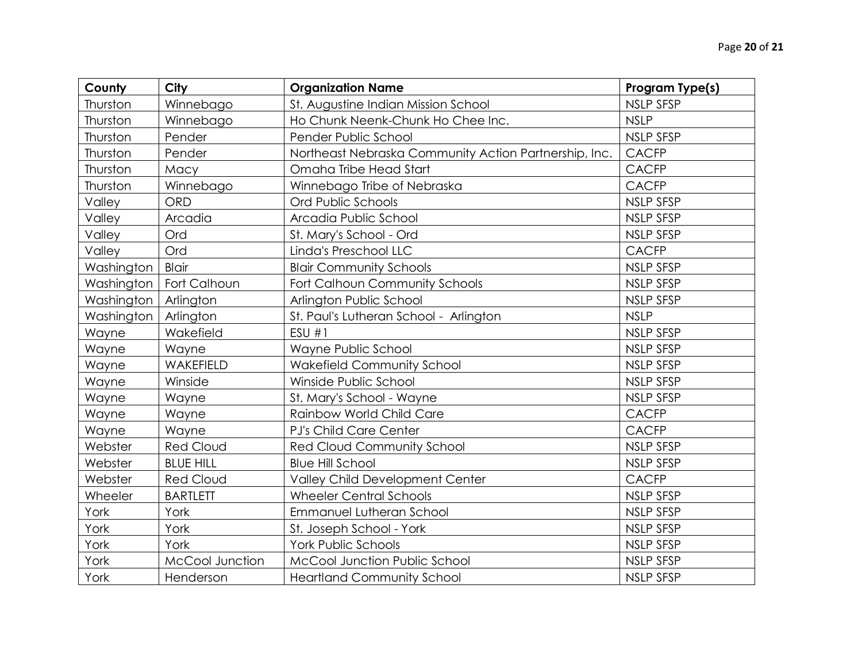| County     | City             | <b>Organization Name</b>                              | Program Type(s)  |
|------------|------------------|-------------------------------------------------------|------------------|
| Thurston   | Winnebago        | St. Augustine Indian Mission School                   | <b>NSLP SFSP</b> |
| Thurston   | Winnebago        | Ho Chunk Neenk-Chunk Ho Chee Inc.                     | <b>NSLP</b>      |
| Thurston   | Pender           | Pender Public School                                  | <b>NSLP SFSP</b> |
| Thurston   | Pender           | Northeast Nebraska Community Action Partnership, Inc. | <b>CACFP</b>     |
| Thurston   | Macy             | Omaha Tribe Head Start                                | <b>CACFP</b>     |
| Thurston   | Winnebago        | Winnebago Tribe of Nebraska                           | <b>CACFP</b>     |
| Valley     | <b>ORD</b>       | Ord Public Schools                                    | <b>NSLP SFSP</b> |
| Valley     | Arcadia          | Arcadia Public School                                 | <b>NSLP SFSP</b> |
| Valley     | Ord              | St. Mary's School - Ord                               | NSLP SFSP        |
| Valley     | Ord              | Linda's Preschool LLC                                 | <b>CACFP</b>     |
| Washington | <b>Blair</b>     | <b>Blair Community Schools</b>                        | <b>NSLP SFSP</b> |
| Washington | Fort Calhoun     | Fort Calhoun Community Schools                        | <b>NSLP SFSP</b> |
| Washington | Arlington        | Arlington Public School                               | <b>NSLP SFSP</b> |
| Washington | Arlington        | St. Paul's Lutheran School - Arlington                | <b>NSLP</b>      |
| Wayne      | Wakefield        | ESU#1                                                 | <b>NSLP SFSP</b> |
| Wayne      | Wayne            | Wayne Public School                                   | <b>NSLP SFSP</b> |
| Wayne      | WAKEFIELD        | <b>Wakefield Community School</b>                     | <b>NSLP SFSP</b> |
| Wayne      | Winside          | Winside Public School                                 | <b>NSLP SFSP</b> |
| Wayne      | Wayne            | St. Mary's School - Wayne                             | <b>NSLP SFSP</b> |
| Wayne      | Wayne            | Rainbow World Child Care                              | <b>CACFP</b>     |
| Wayne      | Wayne            | PJ's Child Care Center                                | <b>CACFP</b>     |
| Webster    | <b>Red Cloud</b> | <b>Red Cloud Community School</b>                     | <b>NSLP SFSP</b> |
| Webster    | <b>BLUE HILL</b> | <b>Blue Hill School</b>                               | <b>NSLP SFSP</b> |
| Webster    | <b>Red Cloud</b> | Valley Child Development Center                       | <b>CACFP</b>     |
| Wheeler    | <b>BARTLETT</b>  | <b>Wheeler Central Schools</b>                        | <b>NSLP SFSP</b> |
| York       | York             | Emmanuel Lutheran School                              | <b>NSLP SFSP</b> |
| York       | York             | St. Joseph School - York                              | <b>NSLP SFSP</b> |
| York       | York             | York Public Schools                                   | NSLP SFSP        |
| York       | McCool Junction  | McCool Junction Public School                         | <b>NSLP SFSP</b> |
| York       | Henderson        | <b>Heartland Community School</b>                     | <b>NSLP SFSP</b> |